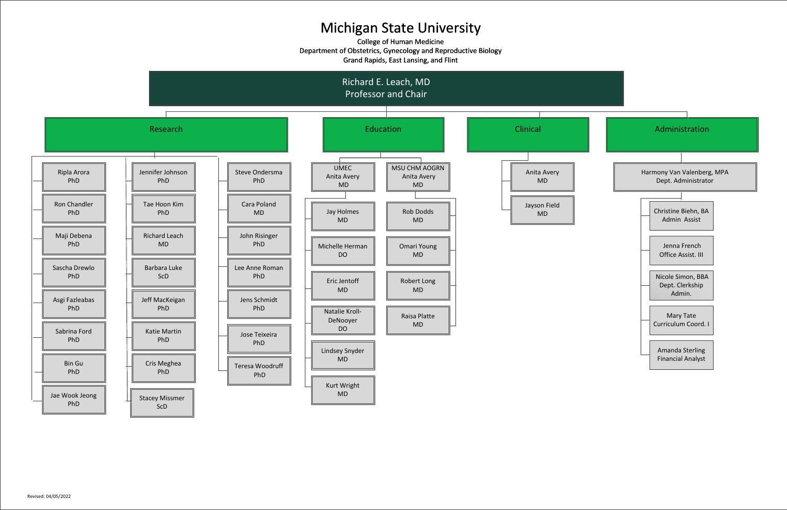## Michigan State University

College of Human Medicine Department of Obstetrics, Gynecology and Reproductive Biology Grand Rapids, East Lansing, and Flint